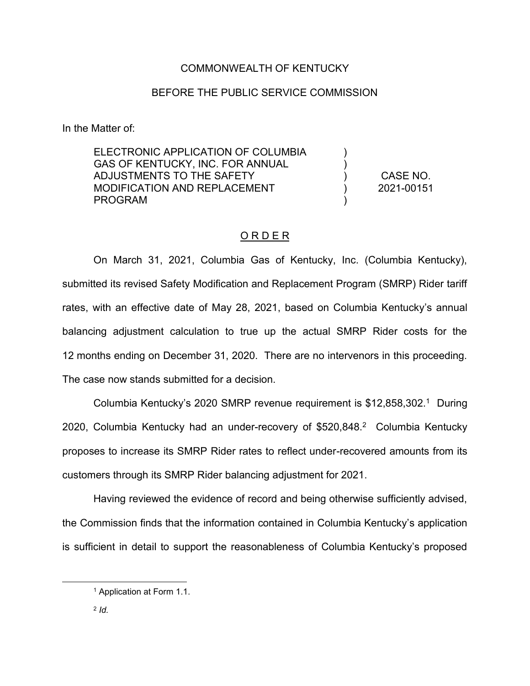#### COMMONWEALTH OF KENTUCKY

#### BEFORE THE PUBLIC SERVICE COMMISSION

In the Matter of:

ELECTRONIC APPLICATION OF COLUMBIA GAS OF KENTUCKY, INC. FOR ANNUAL ADJUSTMENTS TO THE SAFETY MODIFICATION AND REPLACEMENT PROGRAM ) ) ) ) ) CASE NO. 2021-00151

### O R D E R

On March 31, 2021, Columbia Gas of Kentucky, Inc. (Columbia Kentucky), submitted its revised Safety Modification and Replacement Program (SMRP) Rider tariff rates, with an effective date of May 28, 2021, based on Columbia Kentucky's annual balancing adjustment calculation to true up the actual SMRP Rider costs for the 12 months ending on December 31, 2020. There are no intervenors in this proceeding. The case now stands submitted for a decision.

Columbia Kentucky's 2020 SMRP revenue requirement is  $$12,858,302<sup>1</sup>$  During 2020, Columbia Kentucky had an under-recovery of \$520,848.<sup>2</sup> Columbia Kentucky proposes to increase its SMRP Rider rates to reflect under-recovered amounts from its customers through its SMRP Rider balancing adjustment for 2021.

Having reviewed the evidence of record and being otherwise sufficiently advised, the Commission finds that the information contained in Columbia Kentucky's application is sufficient in detail to support the reasonableness of Columbia Kentucky's proposed

<sup>1</sup> Application at Form 1.1.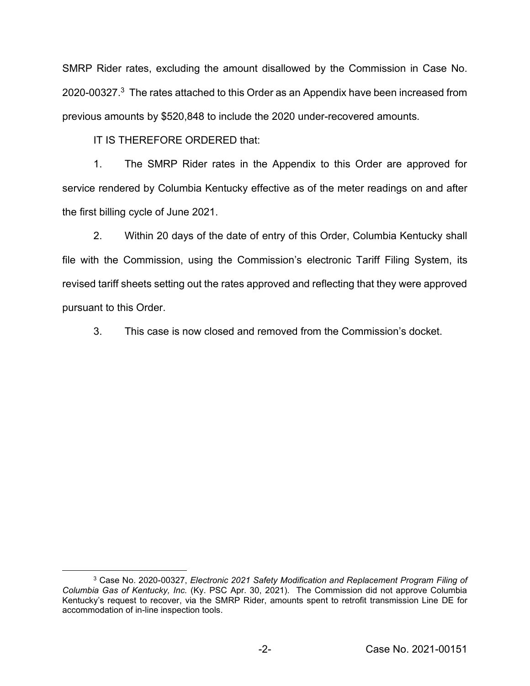SMRP Rider rates, excluding the amount disallowed by the Commission in Case No. 2020-00327. $3$  The rates attached to this Order as an Appendix have been increased from previous amounts by \$520,848 to include the 2020 under-recovered amounts.

IT IS THEREFORE ORDERED that:

1. The SMRP Rider rates in the Appendix to this Order are approved for service rendered by Columbia Kentucky effective as of the meter readings on and after the first billing cycle of June 2021.

2. Within 20 days of the date of entry of this Order, Columbia Kentucky shall file with the Commission, using the Commission's electronic Tariff Filing System, its revised tariff sheets setting out the rates approved and reflecting that they were approved pursuant to this Order.

3. This case is now closed and removed from the Commission's docket.

<sup>3</sup> Case No. 2020-00327, *Electronic 2021 Safety Modification and Replacement Program Filing of Columbia Gas of Kentucky, Inc.* (Ky. PSC Apr. 30, 2021). The Commission did not approve Columbia Kentucky's request to recover, via the SMRP Rider, amounts spent to retrofit transmission Line DE for accommodation of in-line inspection tools.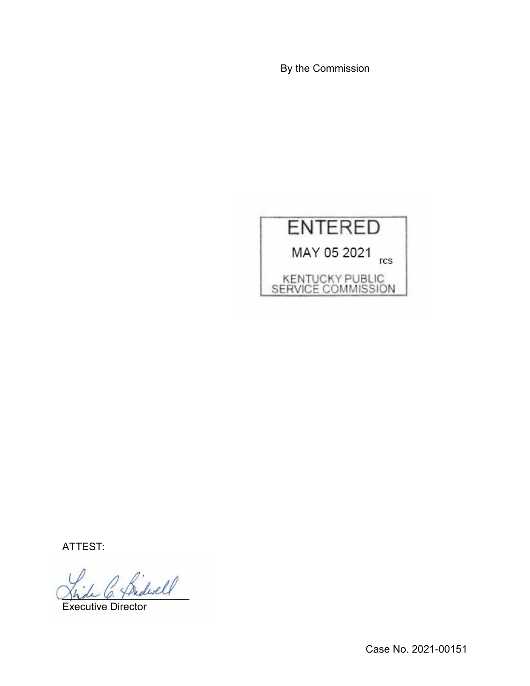By the Commission



ATTEST:

 $d$ well

Executive Director

Case No. 2021-00151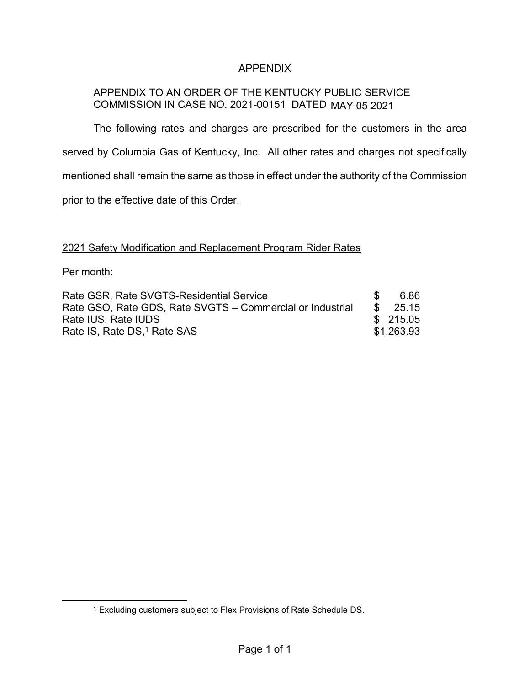## APPENDIX

# APPENDIX TO AN ORDER OF THE KENTUCKY PUBLIC SERVICE COMMISSION IN CASE NO. 2021-00151 DATED MAY 05 2021

The following rates and charges are prescribed for the customers in the area served by Columbia Gas of Kentucky, Inc. All other rates and charges not specifically mentioned shall remain the same as those in effect under the authority of the Commission prior to the effective date of this Order.

### 2021 Safety Modification and Replacement Program Rider Rates

Per month:

| Rate GSR, Rate SVGTS-Residential Service                  | 6.86               |
|-----------------------------------------------------------|--------------------|
| Rate GSO, Rate GDS, Rate SVGTS – Commercial or Industrial | $\frac{\$}{25.15}$ |
| Rate IUS, Rate IUDS                                       | \$215.05           |
| Rate IS, Rate DS, <sup>1</sup> Rate SAS                   | \$1,263.93         |

<sup>1</sup> Excluding customers subject to Flex Provisions of Rate Schedule DS.